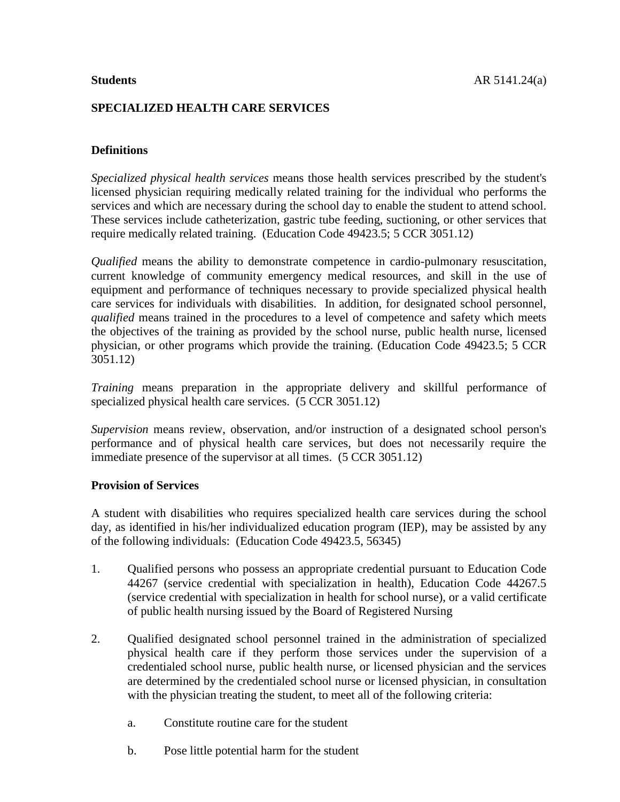# **SPECIALIZED HEALTH CARE SERVICES**

# **Definitions**

*Specialized physical health services* means those health services prescribed by the student's licensed physician requiring medically related training for the individual who performs the services and which are necessary during the school day to enable the student to attend school. These services include catheterization, gastric tube feeding, suctioning, or other services that require medically related training. (Education Code 49423.5; 5 CCR 3051.12)

*Qualified* means the ability to demonstrate competence in cardio-pulmonary resuscitation, current knowledge of community emergency medical resources, and skill in the use of equipment and performance of techniques necessary to provide specialized physical health care services for individuals with disabilities. In addition, for designated school personnel, *qualified* means trained in the procedures to a level of competence and safety which meets the objectives of the training as provided by the school nurse, public health nurse, licensed physician, or other programs which provide the training. (Education Code 49423.5; 5 CCR 3051.12)

*Training* means preparation in the appropriate delivery and skillful performance of specialized physical health care services. (5 CCR 3051.12)

*Supervision* means review, observation, and/or instruction of a designated school person's performance and of physical health care services, but does not necessarily require the immediate presence of the supervisor at all times. (5 CCR 3051.12)

### **Provision of Services**

A student with disabilities who requires specialized health care services during the school day, as identified in his/her individualized education program (IEP), may be assisted by any of the following individuals: (Education Code 49423.5, 56345)

- 1. Qualified persons who possess an appropriate credential pursuant to Education Code 44267 (service credential with specialization in health), Education Code 44267.5 (service credential with specialization in health for school nurse), or a valid certificate of public health nursing issued by the Board of Registered Nursing
- 2. Qualified designated school personnel trained in the administration of specialized physical health care if they perform those services under the supervision of a credentialed school nurse, public health nurse, or licensed physician and the services are determined by the credentialed school nurse or licensed physician, in consultation with the physician treating the student, to meet all of the following criteria:
	- a. Constitute routine care for the student
	- b. Pose little potential harm for the student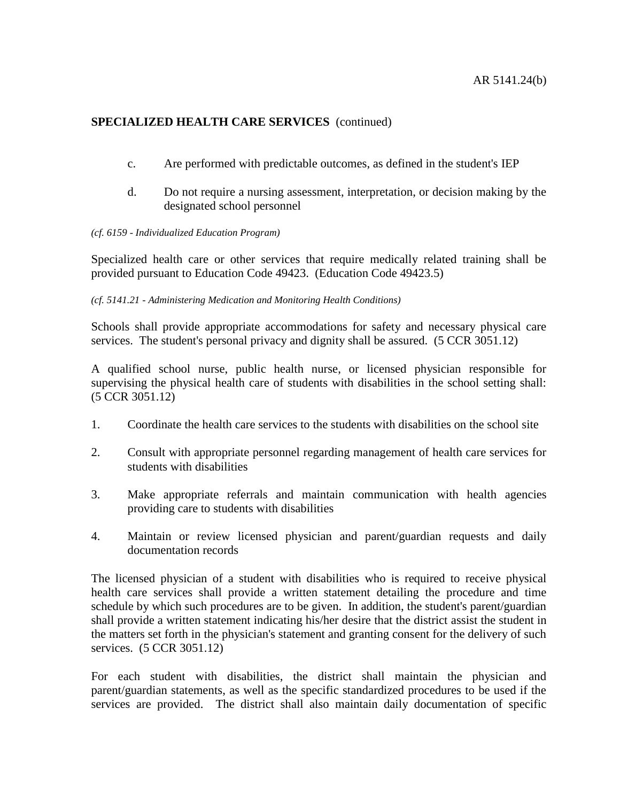## **SPECIALIZED HEALTH CARE SERVICES** (continued)

- c. Are performed with predictable outcomes, as defined in the student's IEP
- d. Do not require a nursing assessment, interpretation, or decision making by the designated school personnel

#### *(cf. 6159 - Individualized Education Program)*

Specialized health care or other services that require medically related training shall be provided pursuant to Education Code 49423. (Education Code 49423.5)

### *(cf. 5141.21 - Administering Medication and Monitoring Health Conditions)*

Schools shall provide appropriate accommodations for safety and necessary physical care services. The student's personal privacy and dignity shall be assured. (5 CCR 3051.12)

A qualified school nurse, public health nurse, or licensed physician responsible for supervising the physical health care of students with disabilities in the school setting shall: (5 CCR 3051.12)

- 1. Coordinate the health care services to the students with disabilities on the school site
- 2. Consult with appropriate personnel regarding management of health care services for students with disabilities
- 3. Make appropriate referrals and maintain communication with health agencies providing care to students with disabilities
- 4. Maintain or review licensed physician and parent/guardian requests and daily documentation records

The licensed physician of a student with disabilities who is required to receive physical health care services shall provide a written statement detailing the procedure and time schedule by which such procedures are to be given. In addition, the student's parent/guardian shall provide a written statement indicating his/her desire that the district assist the student in the matters set forth in the physician's statement and granting consent for the delivery of such services. (5 CCR 3051.12)

For each student with disabilities, the district shall maintain the physician and parent/guardian statements, as well as the specific standardized procedures to be used if the services are provided. The district shall also maintain daily documentation of specific